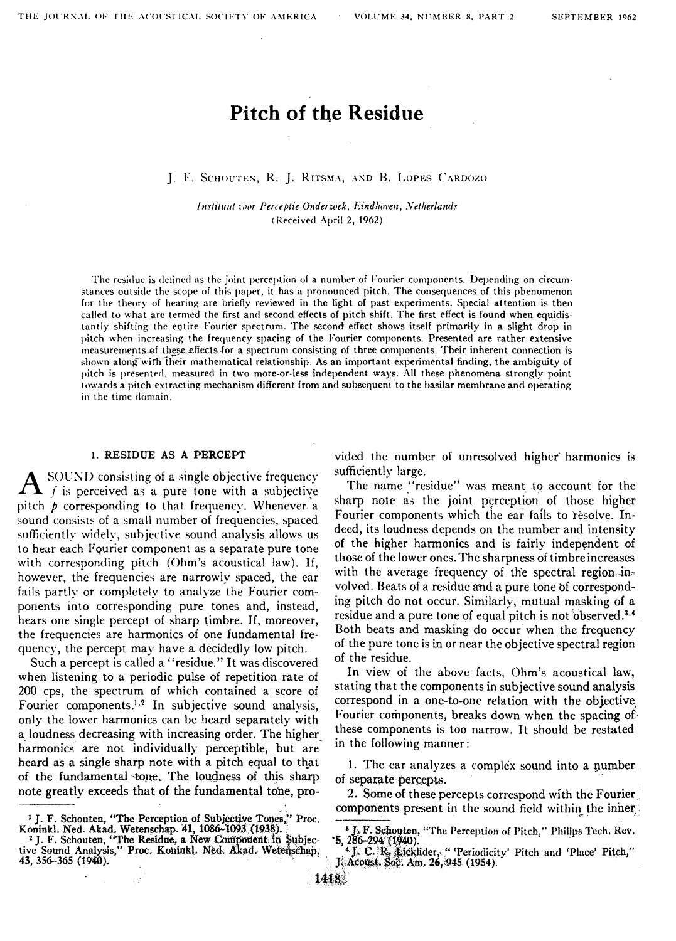# **Pitch of the Residue**

#### J. F. SCHOUTEN, R. J. RITSMA, AND B. LOPES CARDOZO

Instituut voor Perceptie Onderzoek, Eindhoven, Netherlands (Received April 2, 1962)

The residue is defined as the joint perception of a number of Fourier components. Depending on circumstances outside the scope of this paper, it has a pronounced pitch. The consequences of this phenomenon for the theory of hearing are briefly reviewed in the light of past experiments. Special attention is then called to what are termed the first and second effects of pitch shift. The first effect is found when equidistantly shifting the entire Fourier spectrum. The second effect shows itself primarily in a slight drop in pitch when increasing the frequency spacing of the Fourier components. Presented are rather extensive measurements of these effects for a spectrum consisting of three components. Their inherent connection is shown along with their mathematical relationship. As an important experimental finding, the ambiguity of pitch is presented, measured in two more-or-less independent ways. All these phenomena strongly point towards a pitch-extracting mechanism different from and subsequent to the basilar membrane and operating in the time domain.

#### 1. RESIDUE AS A PERCEPT

SOUND consisting of a single objective frequency  $\blacktriangleright$  f is perceived as a pure tone with a subjective pitch  $\phi$  corresponding to that frequency. Whenever a sound consists of a small number of frequencies, spaced sufficiently widely, subjective sound analysis allows us to hear each Fourier component as a separate pure tone with corresponding pitch (Ohm's acoustical law). If, however, the frequencies are narrowly spaced, the ear fails partly or completely to analyze the Fourier components into corresponding pure tones and, instead, hears one single percept of sharp timbre. If, moreover, the frequencies are harmonics of one fundamental frequency, the percept may have a decidedly low pitch.

Such a percept is called a "residue." It was discovered when listening to a periodic pulse of repetition rate of 200 cps, the spectrum of which contained a score of Fourier components.<sup>1,2</sup> In subjective sound analysis, only the lower harmonics can be heard separately with a loudness decreasing with increasing order. The higher harmonics are not individually perceptible, but are heard as a single sharp note with a pitch equal to that of the fundamental tone. The loudness of this sharp note greatly exceeds that of the fundamental tone, provided the number of unresolved higher harmonics is sufficiently large.

The name "residue" was meant to account for the sharp note as the joint perception of those higher Fourier components which the ear fails to resolve. Indeed, its loudness depends on the number and intensity of the higher harmonics and is fairly independent of those of the lower ones. The sharpness of timbre increases with the average frequency of the spectral region-involved. Beats of a residue and a pure tone of corresponding pitch do not occur. Similarly, mutual masking of a residue and a pure tone of equal pitch is not observed.<sup>3,4</sup> Both beats and masking do occur when the frequency of the pure tone is in or near the objective spectral region of the residue.

In view of the above facts, Ohm's acoustical law, stating that the components in subjective sound analysis correspond in a one-to-one relation with the objective Fourier components, breaks down when the spacing of these components is too narrow. It should be restated in the following manner:

1. The ear analyzes a complex sound into a number. of separate-percepts.

2. Some of these percepts correspond with the Fourier components present in the sound field within the inner

<sup>&</sup>lt;sup>1</sup> J. F. Schouten, "The Perception of Subjective Tones," Proc.<br>Koninkl. Ned. Akad. Wetenschap. 41, 1086-1093 (1938).<br><sup>2</sup> J. F. Schouten, "The Residue, a New Component in Subjective Sound Analysis," Proc. Koninkl. Ned. Aka 43, 356–365 (1940).

<sup>&</sup>lt;sup>3</sup> J. F. Schouten, "The Perception of Pitch," Philips Tech. Rev. 5, 286-294 (1940)

<sup>&</sup>lt;sup>4</sup> J. C. R. Licklider, "Periodicity' Pitch and 'Place' Pitch," J. Acoust. Soc. Am. 26, 945 (1954).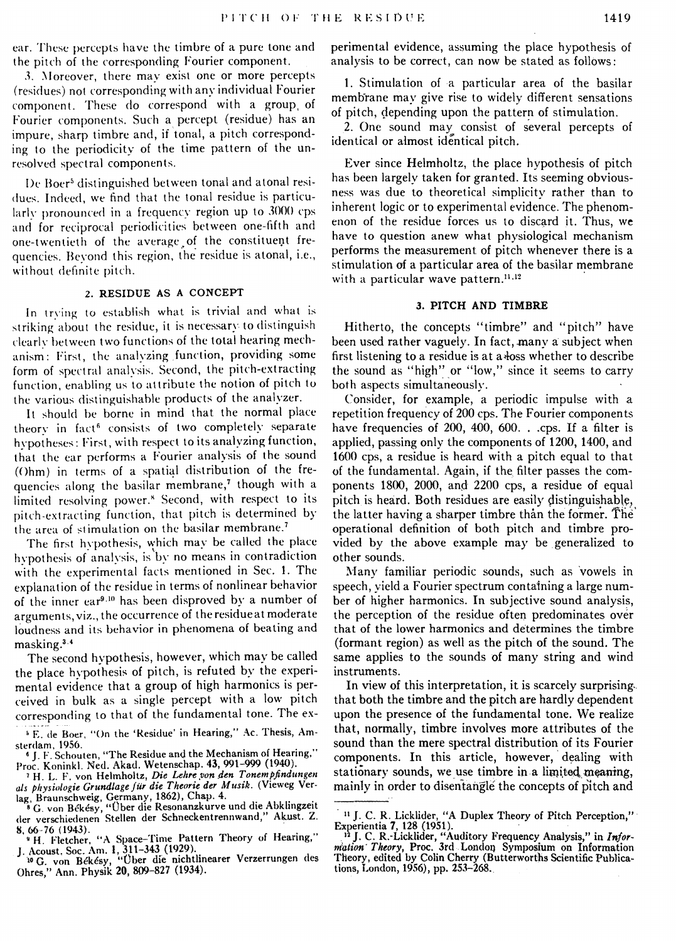ear. These percepts have the timbre of a pure tone and the pitch of the corresponding Fourier component.

3. Moreover, there may exist one or more percepts (residues) not corresponding with any individual Fourier component. These do correspond with a group, of Fourier components. Such a percept (residue) has an impure, sharp timbre and, if tonal, a pitch corresponding to the periodicity of the time pattern of the unresolved spectral components.

De Boer' distinguished between tonal and atonal residues. Indeed, we find that the tonal residue is particularly pronounced in a frequency region up to  $3000$  cps and for reciprocal periodicities between one-fifth and one-twentieth of the average of the constituent frequencies. Beyond this region, the residue is atonal, i.e., without defmite pitch.

# 2. RESIDUE AS A CONCEPT

In trying to establish what is trivial and what is striking about the residue, it is necessary to distinguish clearly between two functions of the total hearing mechanism: First, the analyzing function, providing some form of spectral analysis. Second, the pitch-extracting function, enabling us to attribute the notion of pitch to the various distinguishable products of the analyzer.

It should be borne in mind that the normal place theory in fact<sup>6</sup> consists of two completely separate hypoiheses: First, with respect to its analyzing function, that the ear performs a Fourier analysis of the sound  $(Ohm)$  in terms of a spatial distribution of the frequencies along the basilar membrane,<sup> $\tau$ </sup> though with a limited resolving power.<sup>8</sup> Second, with respect to its pitch-extracting function, that pitch is determined by the area of stimulation on the basilar membrane.<sup>7</sup>

The first hvpothesis, which mav be called the place hypothesis of analysis, is by no means in contradiction with the experimental facts mentioned in Sec. I. The explanation of the residue in terms of nonlinear behavior of the inner ear9 ·10 has been disproved by a number of arguments, viz., the occurrence of the residue at moderate loudness and its behavior in phenomena of beating and masking.<sup>3.4</sup>

The second hypothesis, however, which may be called the place hypothesis of pitch, is refuted by the experimental evidence that a group of high harmonics is perceived in bulk as a single percept with a low pitch corresponding to that of the fundamental tone. The experimental evidence, assuming the place hypothesis of analysis to be correct, can now be stated as follows:

**1.** Stimulation of a particular area of the basilar memb'rane may give rise to widely different sensations of pitch, depending upon the pattern of stimulation.

2. One sound may consist of several percepts of identical or almost identical pitch.

Ever since Helmholtz, the place hypothesis of pitch has been largely taken for granted. Its seeming obviousness was due to theoretical simplicity rather than to inherent logic or to experimental evidence. The phenomenon of the residue forces us to discard it. Thus, we have to question anew what physiological mechanism performs the measurement of pitch whenever there is a stimulation of a particular area of the basilar membrane with a particular wave pattern.<sup>11,12</sup>

#### **3. PITCH AND TIMBRE**

Hitherto, the concepts "timbre" and "pitch" have been used rather vaguely. In fact, many a subject when first listening to a residue is at a loss whether to describe the sound as "high" or "low," since it seems to carry both aspects simultaneously.

Consider, for example, a periodic impulse with a. repetition frequency of 200 cps. The Fourier components have frequencies of 200, 400, 600. . .cps. If a filter is applied, passing only the components of 1200, 1400, and 1600 cps, a residue is heard with a pitch equal to that of the fundamental. Again, if the filter passes the components 1800, 2000, and 2200 cps, a residue of equal pitch is heard. Both residues are easily distinguishable, the latter having a sharper timbre than the former. The operational definition of both pitch and timbre provided by the above example may be generalized to other sounds.

Many familiar periodic sounds, such as vowels in speech, yield a Fourier spectrum containing a large number of higher harmonics. In subjective sound analysis, the perception of the residue often predominates over that of the lower harmonics and determines the timbre (formant region) as well as the pitch of the sound. The same applies to the sounds of many string and wind instruments.

In view of this interpretation, it is scarcely surprising. that both the timbre and the pitch are hardly dependent upon the presence of the fundamental tone. We realize that, normally, timbre involves more attributes of the sound than the mere spectral distribution of its Fourier components. In this article, however, dealing with stationary sounds, we use timbre in a limited meaning, mainly in order to disentangle the concepts of pitch and

<sup>&</sup>lt;sup>5</sup> E. de Boer, "On the 'Residue' in Hearing," Ac. Thesis, Am-

sterdam. 1956.<br><sup>6</sup> J. F. Schouten, "The Residue and the Mechanism of Hearing," Proc. Koninkl. Ned. Akad. Wetenschap. 43, 991-999 (1940).

<sup>&</sup>lt;sup>7</sup> H. L. F. von Helmholtz, *Die Lehre von den Tonempfindungen* als physiologie Grundlage für die Theorie der Musik. (Vieweg Ver-

lag Braunschweig, Germany, 1862), Chap. 4.<br>• G. von Békésy, "Über die Resonanzkurve und die Abklingzeit der verschiedenen Stellen der Schneckentrennwand," Akust. Z. 8, 66-76 (1943).<br><sup>9</sup> H. Fletcher, "A Space-Time Pattern Theory of Hearing,"

**J. Acoust. Soc. Am. 1, 311-343 (1929).**<br><sup>10</sup> G. von Békésy, "Ober die nichtlinearer Verzerrungen des

Ohres," Ann. Physik **20,** 809-827 (1934).

<sup>&</sup>lt;sup>11</sup> J. C. R. Licklider, "A Duplex Theory of Pitch Perception,"

Experientia 7, 128 (1951).<br><sup>12</sup> J. C. R.-Licklider, "Auditory Frequency Analysis," in *Information*<br>*mation Theory*, Proc. 3rd London Symposium on Information<br>Theory, edited by Colin Cherry (Butterworths Scientific Publica tions, London, 19\$6), pp. 253-268.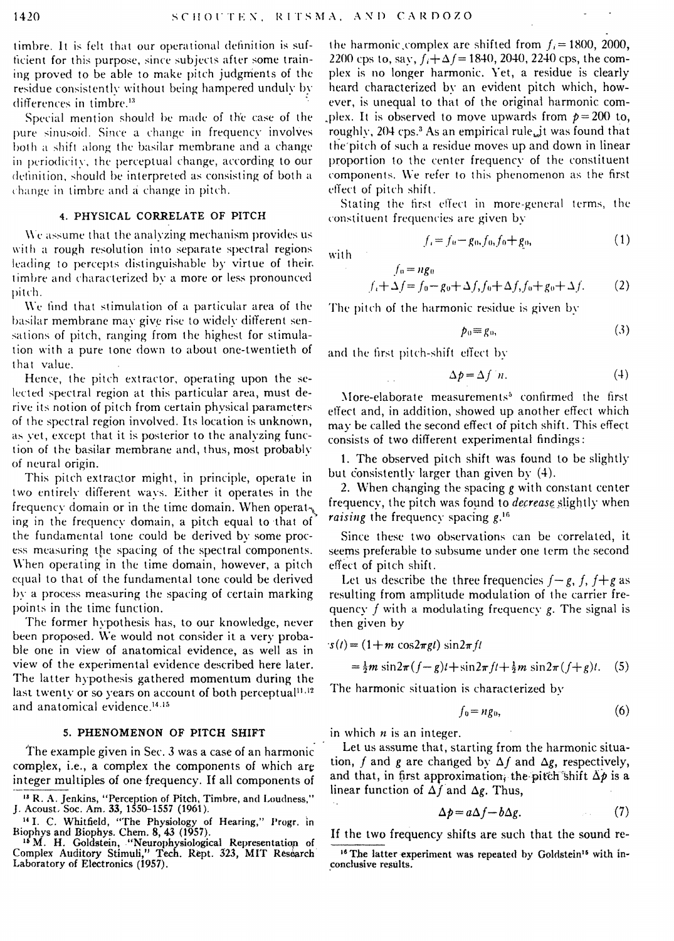timbre. It is felt that our operational definition is sufticient for this purpose, since subjects after some training proved to be able to make pitch judgments of the residue consistently without being hampered unduly by differences in timbre.<sup>13</sup>

Special mention should be made of the case of the pure sinusoid. Since a change in frequency involves both a shift along the basilar membrane and a change in periodicity. the perceptual change, according to our definition, should be interpreted as consisting of both a change in timbre and a change in pitch.

#### 4. PHYSICAL CORRELATE OF PITCH

 $\rm\,Wc$  assume that the analyzing mechanism provides us. with a rough resolution into separate spectral regions leading to percepts distinguishable by virtue of their. timbre and characterized by a more or less pronounced pitch.

We find that stimulation of a particular area of the basilar membrane may give rise to widely different sensations of pitch, ranging from the highest for stimulation with a pure tone down to about one-twentieth of that value.

Hence, the pitch extractor, operating upon the selected spectral region at this particular area, must derive its notion of pitch from certain physical parameters of the spectral region involved. Its location is unknown, as yet, except that it is posterior to the analyzing function of the basilar membrane and, thus, most probably of neural origin.

This pitch extractor might, in principle, operate in two entirely different ways. Either it operates in the frequency domain or in the time domain. When operat $\chi$ ing in the frequency domain, a pitch equal to that of the fundamental tone could be derived by some process measuring the spacing of the spectral components. When operating in the time domain, however, a pitch equal to that of the fundamental tone could be derived  $b$ y a process measuring the spacing of certain marking points in the time function.

The former hypothesis has, to our knowledge, never been proposed. We would not consider it a very probable one in view of anatomical evidence, as well as in view of the experimental evidence described here later. The latter hypothesis gathered momentum during the last twenty or so years on account of both perceptual<sup>11,12</sup> and anatomical evidence.<sup>14.15</sup>

#### 5. PHENOMENON OF PITCH SHIFT

The example given in Sec. 3 was a case of an harmonic complex, i.e., a complex the components of which are integer multiples of one frequency. If all components of

the harmonic.complex are shifted from  $f_i = 1800$ , 2000, 2200 cps to, say,  $f_i + \Delta f = 1840$ , 2040, 2240 cps, the complex is no longer harmonic. Yet, a residue is clearly heard characterized by an evident pitch which, however, is unequal to that of the original harmonic com plex. It is observed to move upwards from  $p=200$  to, roughly,  $204 \text{ cps}^3$  As an empirical rule, it was found that the pitch of such a residue moves up and down in linear proportion to the center frequency of the constituent components. We refer to this phenomenon as the first effect of pitch shift.

Stating the first effect in more-general terms, the constituent frequencies are given by

$$
f_i = f_0 - g_0, f_0, f_0 + g_0,
$$
 (1)

with

$$
f_t + \Delta f = f_0 - g_0 + \Delta f, f_0 + \Delta f, f_0 + g_0 + \Delta f.
$$
 (2)

The pitch of the harmonic residue is given by

$$
p_0 \equiv g_0,\tag{3}
$$

and the first pitch-shift effect by

 $l_n = na_n$ 

$$
\Delta p = \Delta f / n. \tag{4}
$$

More-elaborate measurements<sup>5</sup> confirmed the first effect and, in addition, showed up another effect which may be called the second effect of pitch shift. This effect consists of two different experimental findings:

1. The observed pitch shift was found to be slightly but consistently larger than given by (4).

2. When changing the spacing *g* with constant center frequency, the pitch was found to *decrease* slightly when *raising* the frequency spacing  $g^{16}$ .

Since these two observations can be correlated, it seems preferable to subsume under one term the second effect of pitch shift.

Let us describe the three frequencies  $f-g$ ,  $f$ ,  $f+g$  as resulting from amplitude modulation of the carrier frequency  $f$  with a modulating frequency  $g$ . The signal is then given by

$$
s(t) = (1 + m \cos 2\pi g t) \sin 2\pi f t
$$

$$
= \frac{1}{2}m\sin 2\pi (f - g)t + \sin 2\pi ft + \frac{1}{2}m\sin 2\pi (f + g)t.
$$
 (5)

The harmonic situation is characterized by

$$
f_0 = n g_0,\tag{6}
$$

in which *n* is an integer.

Let us assume that, starting from the harmonic situation, f and g are changed by  $\Delta f$  and  $\Delta g$ , respectively, and that, in first approximation, the pitch shift  $\Delta p$  is a linear function of  $\Delta f$  and  $\Delta g$ . Thus,

$$
\Delta p = a\Delta f - b\Delta g. \tag{7}
$$

If the two frequency shifts are such that the sound re-

<sup>&</sup>lt;sup>13</sup> R. A. Jenkins, "Perception of Pitch, Timbre, and Loudness," *J. Acoust. Soc. Am.* 33, 1550–1557 (1961).

<sup>&</sup>lt;sup>14</sup> I. C. Whitfield, "The Physiology of Hearing," Progr. in

Biophys and Biophys. Chem. 8, 43 (1957).<br>- <sup>16</sup> M. H. Goldstein, "Neurophysiological Representation of<br>Complex Auditory Stimuli," Tech. Rept. 323, MIT Research Laboratory of Electronics (1957).

<sup>&</sup>lt;sup>16</sup> The latter experiment was repeated by Goldstein<sup>15</sup> with in-\_conclusive results.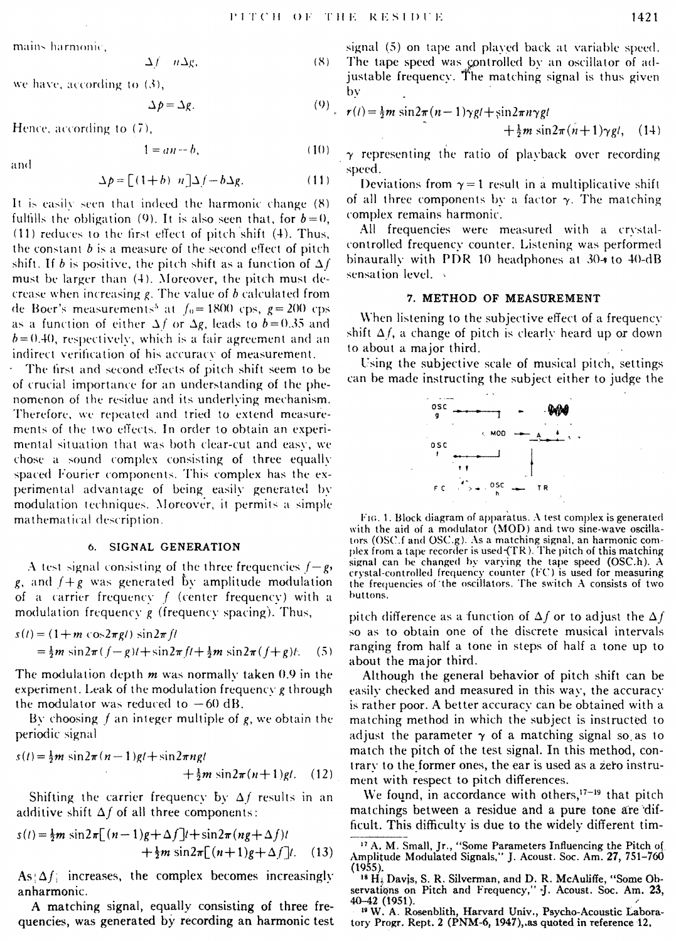mains harmonic,

$$
\Delta f = n \Delta g, \tag{8}
$$

we have, according to  $(3)$ ,

$$
\Delta p = \Delta g. \tag{9}
$$

Hence, according to  $(7)$ .

$$
1 = an - b,\tag{10}
$$

$$
\Delta p = \left[ (1+b) \ n \right] \Delta f - b \Delta g. \tag{11}
$$

It is easily seen that indeed the harmonic change (8) fulfills the obligation (9). It is also seen that, for  $b=0$ , (11) reduces to the first effect of pitch shift (4). Thus, the constant  $b$  is a measure of the second effect of pitch shift. If b is positive, the pitch shift as a function of  $\Delta f$ must be larger than (4). Moreover, the pitch must decrease when increasing  $g$ . The value of  $b$  calculated from de Boer's measurements<sup>5</sup> at  $f_0 = 1800$  cps,  $g = 200$  cps as a function of either  $\Delta f$  or  $\Delta g$ , leads to  $b = 0.35$  and  $b = 0.40$ , respectively, which is a fair agreement and an indirect verification of his accuracy of measurement.

The first and second effects of pitch shift seem to be of crucial importance for an understanding of the phenomenon of the residue and its underlying mechanism. Therefore, we repeated and tried to extend measurements of the two effects. In order to obtain an experimental situation that was both clear-cut and easy, we chose a sound complex consisting of three equally spaced Fourier components. This complex has the experimental advantage of being easily generated by modulation techniques. Moreover, it permits a simple mathematical description.

#### 6. SIGNAL GENERATION

A test signal consisting of the three frequencies  $f-g$ , g, and  $f+g$  was generated by amplitude modulation of a carrier frequency  $f$  (center frequency) with a modulation frequency  $g$  (frequency spacing). Thus,

$$
s(t) = (1 + m \cos 2\pi g t) \sin 2\pi f t
$$
  
=  $\frac{1}{2}m \sin 2\pi (f - g)t + \sin 2\pi f t + \frac{1}{2}m \sin 2\pi (f + g)t$ . (5)

The modulation depth  $m$  was normally taken 0.9 in the experiment. Leak of the modulation frequency g through the modulator was reduced to  $-60$  dB.

By choosing  $f$  an integer multiple of  $g$ , we obtain the periodic signal

$$
s(t) = \frac{1}{2}m \sin 2\pi (n-1)gt + \sin 2\pi ngt + \frac{1}{2}m \sin 2\pi (n+1)gt. (12)
$$

Shifting the carrier frequency by  $\Delta f$  results in an additive shift  $\Delta f$  of all three components:

$$
s(t) = \frac{1}{2}m \sin 2\pi \left[ (n-1)g + \Delta f \right] t + \sin 2\pi (ng + \Delta f) t
$$
  
 
$$
+ \frac{1}{2}m \sin 2\pi \left[ (n+1)g + \Delta f \right] t. \quad (13)
$$

 $As \Delta f$  increases, the complex becomes increasingly anharmonic.

A matching signal, equally consisting of three frequencies, was generated by recording an harmonic test

signal (5) on tape and played back at variable speed. The tape speed was controlled by an oscillator of ad- $\lambda$ justable frequency. The matching signal is thus given by

$$
r(t) = \frac{1}{2}m \sin 2\pi (n-1)\gamma g t + \sin 2\pi n \gamma g t + \frac{1}{2}m \sin 2\pi (n+1)\gamma g t, \quad (14)
$$

 $\gamma$  representing the ratio of playback over recording speed.

Deviations from  $\gamma = 1$  result in a multiplicative shift of all three components by a factor  $\gamma$ . The matching complex remains harmonic.

All frequencies were measured with a crystalcontrolled frequency counter. Listening was performed binaurally with PDR 10 headphones at 30-4 to 40-dB sensation level.

#### 7. METHOD OF MEASUREMENT

When listening to the subjective effect of a frequency shift  $\Delta f$ , a change of pitch is clearly heard up or down to about a major third.

Using the subjective scale of musical pitch, settings can be made instructing the subject either to judge the



FIG. 1. Block diagram of apparatus. A test complex is generated with the aid of a modulator (MOD) and two sine-wave oscillators (OSC.f and OSC.g). As a matching signal, an harmonic complex from a tape recorder is used (TR). The pitch of this matching signal can be changed by varying the tape speed  $(OSC.h)$ . A crystal-controlled frequency counter (FC) is used for measuring the frequencies of the oscillators. The switch A consists of two buttons.

pitch difference as a function of  $\Delta f$  or to adjust the  $\Delta f$ so as to obtain one of the discrete musical intervals ranging from half a tone in steps of half a tone up to about the major third.

Although the general behavior of pitch shift can be easily checked and measured in this way, the accuracy is rather poor. A better accuracy can be obtained with a matching method in which the subject is instructed to adjust the parameter  $\gamma$  of a matching signal so as to match the pitch of the test signal. In this method, contrary to the former ones, the ear is used as a zero instrument with respect to pitch differences.

We found, in accordance with others,<sup>17-19</sup> that pitch matchings between a residue and a pure tone are difficult. This difficulty is due to the widely different tim-

<sup>19</sup> W. A. Rosenblith, Harvard Univ., Psycho-Acoustic Laboratory Progr. Rept. 2 (PNM-6, 1947), as quoted in reference 12.

<sup>&</sup>lt;sup>17</sup> A, M. Small, Jr., "Some Parameters Influencing the Pitch of Amplitude Modulated Signals," J. Acoust. Soc. Am. 27, 751-760  $(1955).$ 

<sup>&</sup>lt;sup>18</sup> H<sub>4</sub> Davis, S. R. Silverman, and D. R. McAuliffe, "Some Observations on Pitch and Frequency," J. Acoust. Soc. Am. 23, 40-42 (1951).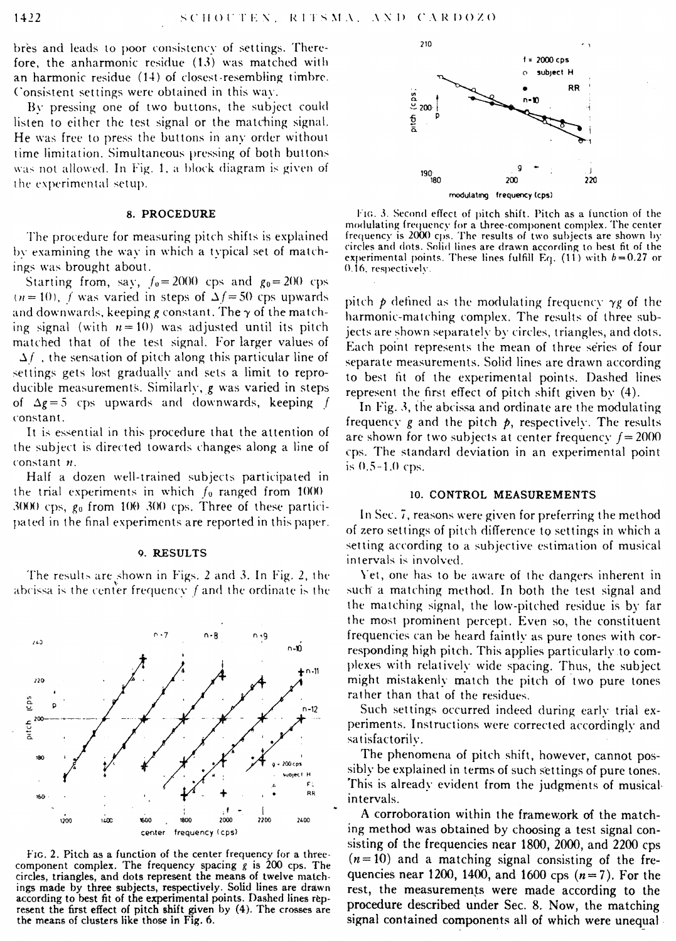bres and leads to poor consistency of settings. Therefore, the anharmonic residue (13) was matched with an harmonic residue (14) of closest-resembling timbre. Consistent settings were obtained in this way.

By pressing one of two buttons, the subject could listen to either the test signal or the matching signal. He was free to press the buttons in any order without time limitation. Simultaneous pressing of both buttons was not allowed. In Fig. 1, a block diagram is given of the experimental setup.

#### 8. PROCEDURE

The procedure for measuring pitch shifts is explained by examining the way in which a typical set of matchings was brought about.

Starting from, say,  $f_0 = 2000$  cps and  $g_0 = 200$  cps  $t_n= 10$ , f was varied in steps of  $\Delta f=50$  cps upwards and downwards, keeping g constant. The  $\gamma$  of the matching signal (with  $n = 10$ ) was adjusted until its pitch matched that of the test signal. For larger values of  $\Delta f$ , the sensation of pitch along this particular line of settings gets lost gradually and sets a limit to reproducible measurements. Similarly, *g* was varied in steps of  $\Delta g = 5$  cps upwards and downwards, keeping f constant.

It is essential in this procedure that the attention of the subject is directed towards changes along a line of constant n.

Half a dozen well-trained subjects participated in the trial experiments in which  $f_0$  ranged from 1000  $3000$  cps,  $g_0$  from  $100/300$  cps. Three of these participated in the final experiments are reported in this paper.

#### 9. RESULTS

The results are shown in Figs. 2 and 3. In Fig. 2, the abcissa is the center frequency  $f$  and the ordinate is the



FIG. 2. Pitch as a function of the center frequency for a threecomponent complex. The frequency spacing  $g$  is 200 cps. The circles, triangles, and dots represent the means of twelve matchings made by three subjects, respectively. Solid lines are drawn according to best fit of the experimental points. Dashed lines represent the first effect of pitch shift given by {4). The crosses are the means of clusters like those in Fig. 6.



FIG. 3. Second effect of pitch shift. Pitch as a function of the modulating frequency for a three-component complex. The center frequency is 2000 cps. The results of two subjects are shown hy circles and dots. Solid lines are drawn according to best fit of the experimental points. These lines fulfill Eq.  $(11)$  with  $b=0.27$  or 0.16, respectively.

pitch  $p$  defined as the modulating frequency  $\gamma g$  of the harmonic-matching complex. The results of three subjects are shown separately by circles, triangles, and dots. Each point represents the mean of three series of four separate measurements. Solid lines are drawn according to best tit of the experimental points. Dashed lines represent the first effect of pitch shift given by (4).

In Fig. 3, the abcissa and ordinate are the modulating frequency  $g$  and the pitch  $p$ , respectively. The results are shown for two subjects at center frequency  $f = 2000$ cps. The standard deviation in an experimental point is 0.5-1.0 cps.

## 10. CONTROL MEASUREMENTS

In Sec. 7, reasons were given for preferring the method of zero settings of pitch difference to settings in which a setting according to a subjective estimation of musical intervals is involved.

Yet, one has to be aware of the dangers inherent in such a matching method. In both the test signal and the matching signal, the low-pitched residue is by far the most prominent percept. Even so, the constituent frequencies can be heard faintly as pure tones with corresponding high pitch. This applies particularly .to complexes with relatively wide spacing. Thus, the subject might mistakenly match the pitch of two pure tones rather than that of the residues.

Such settings occurred indeed during early trial experiments. Instructions were corrected accordingly and satisfactorily.

The phenomena of pitch shift, however, cannot possibly be explained in terms of such settings of pure tones. 'fhis is already evident from the judgments of musicalintervals.

A corroboration within the framework of the matching method was obtained by choosing a test signal con· sisting of the frequencies ncar 1800, 2000, and 2200 cps  $(n=10)$  and a matching signal consisting of the frequencies ncar 1200, 1400, and 1600 cps *(n=* 7). For the rest, the measurements were made according to the procedure described under Sec. 8. Now, the matching signal contained components all of which were unequal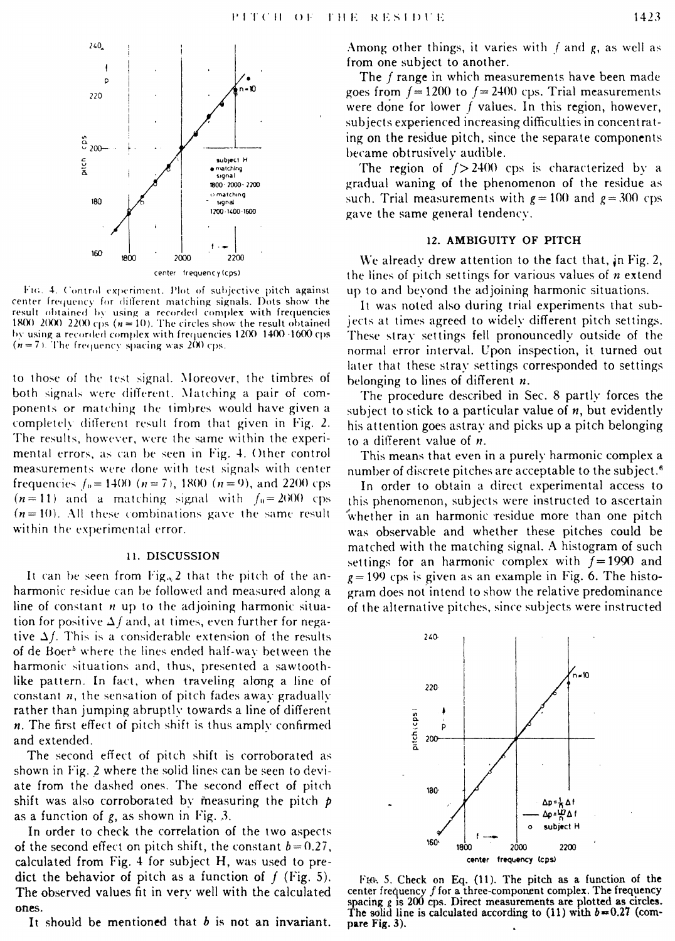

FIG. 4. Control experiment. Plot of subjective pitch against center frequency for different matching signals. Dots show the result obtained by using a recorded complex with frequencies 1800 2000 2200 cps ( $n = 10$ ). The circles show the result obtained by using a recorded complex with frequencies 1200-1400-1600 cps  $(n=7)$ . The frequency spacing was 200 cps.

to those of the test signal. Moreover, the timbres of both signals were different. Matching a pair of components or matching the timbres would have given a completely different result from that given in Fig. 2. The results, however, were the same within the experimental errors, as can be seen in Fig. 4. Other control measurements were done with test signals with center frequencies  $f_0 = 1400$  ( $n = 7$ ), 1800 ( $n = 9$ ), and 2200 cps  $(n=11)$  and a matching signal with  $f_0 = 2000$  cps  $(n=10)$ . All these combinations gave the same result within the experimental error.

#### 11. DISCUSSION

It can be seen from  $Fig., 2$  that the pitch of the anharmonic residue can be followed and measured along a line of constant  $n$  up to the adjoining harmonic situation for positive  $\Delta f$  and, at times, even further for negative  $\Delta f$ . This is a considerable extension of the results of de Boer<sup>5</sup> where the lines ended half-way between the harmonic situations and, thus, presented a sawtoothlike pattern. In fact, when traveling along a line of constant  $n$ , the sensation of pitch fades away gradually rather than jumping abruptly towards a line of different  $n$ . The first effect of pitch shift is thus amply confirmed and extended.

The second effect of pitch shift is corroborated as shown in Fig. 2 where the solid lines can be seen to deviate from the dashed ones. The second effect of pitch shift was also corroborated by measuring the pitch  $p$ as a function of  $g$ , as shown in Fig. 3.

In order to check the correlation of the two aspects of the second effect on pitch shift, the constant  $b = 0.27$ , calculated from Fig. 4 for subject H, was used to predict the behavior of pitch as a function of  $f$  (Fig. 5). The observed values fit in very well with the calculated ones.

It should be mentioned that  $b$  is not an invariant.

The f range in which measurements have been made goes from  $f = 1200$  to  $f = 2400$  cps. Trial measurements were done for lower f values. In this region, however, subjects experienced increasing difficulties in concentrating on the residue pitch, since the separate components became obtrusively audible.

The region of  $\sqrt{}$  2400 cps is characterized by a gradual waning of the phenomenon of the residue as such. Trial measurements with  $g = 100$  and  $g = 300$  cps gave the same general tendency.

# 12. AMBIGUITY OF PITCH

We already drew attention to the fact that, in Fig. 2, the lines of pitch settings for various values of  $n$  extend up to and beyond the adjoining harmonic situations.

It was noted also during trial experiments that subjects at times agreed to widely different pitch settings. These stray settings fell pronouncedly outside of the normal error interval. Upon inspection, it turned out later that these stray settings corresponded to settings belonging to lines of different  $n$ .

The procedure described in Sec. 8 partly forces the subject to stick to a particular value of  $n$ , but evidently his attention goes astray and picks up a pitch belonging to a different value of  $n$ .

This means that even in a purely harmonic complex a number of discrete pitches are acceptable to the subject.<sup>6</sup>

In order to obtain a direct experimental access to this phenomenon, subjects were instructed to ascertain whether in an harmonic residue more than one pitch was observable and whether these pitches could be matched with the matching signal. A histogram of such settings for an harmonic complex with  $f=1990$  and  $g = 199$  cps is given as an example in Fig. 6. The histogram does not intend to show the relative predominance of the alternative pitches, since subjects were instructed



FIG. 5. Check on Eq. (11). The pitch as a function of the center frequency  $f$  for a three-component complex. The frequency spacing  $g$  is 200 cps. Direct measurements are plotted as circles. The solid line is calculated according to (11) with  $b = 0.27$  (compare Fig. 3).